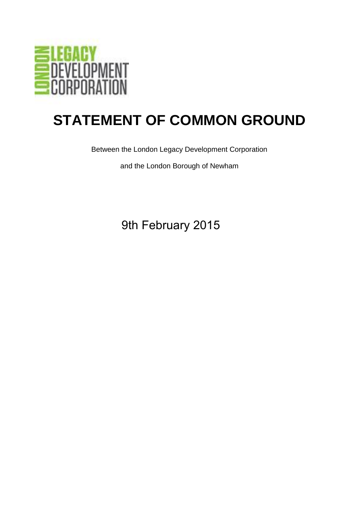

## **STATEMENT OF COMMON GROUND**

Between the London Legacy Development Corporation

and the London Borough of Newham

9th February 2015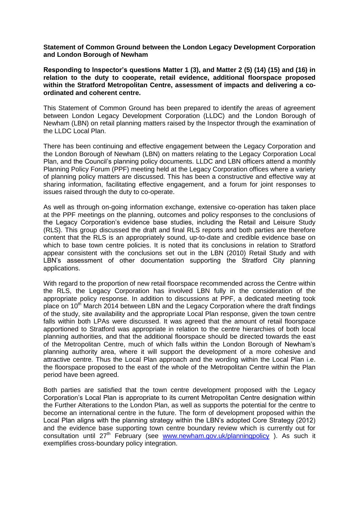**Statement of Common Ground between the London Legacy Development Corporation and London Borough of Newham** 

**Responding to Inspector's questions Matter 1 (3), and Matter 2 (5) (14) (15) and (16) in relation to the duty to cooperate, retail evidence, additional floorspace proposed within the Stratford Metropolitan Centre, assessment of impacts and delivering a coordinated and coherent centre.**

This Statement of Common Ground has been prepared to identify the areas of agreement between London Legacy Development Corporation (LLDC) and the London Borough of Newham (LBN) on retail planning matters raised by the Inspector through the examination of the LLDC Local Plan.

There has been continuing and effective engagement between the Legacy Corporation and the London Borough of Newham (LBN) on matters relating to the Legacy Corporation Local Plan, and the Council's planning policy documents. LLDC and LBN officers attend a monthly Planning Policy Forum (PPF) meeting held at the Legacy Corporation offices where a variety of planning policy matters are discussed. This has been a constructive and effective way at sharing information, facilitating effective engagement, and a forum for joint responses to issues raised through the duty to co-operate.

As well as through on-going information exchange, extensive co-operation has taken place at the PPF meetings on the planning, outcomes and policy responses to the conclusions of the Legacy Corporation's evidence base studies, including the Retail and Leisure Study (RLS). This group discussed the draft and final RLS reports and both parties are therefore content that the RLS is an appropriately sound, up-to-date and credible evidence base on which to base town centre policies. It is noted that its conclusions in relation to Stratford appear consistent with the conclusions set out in the LBN (2010) Retail Study and with LBN's assessment of other documentation supporting the Stratford City planning applications.

With regard to the proportion of new retail floorspace recommended across the Centre within the RLS, the Legacy Corporation has involved LBN fully in the consideration of the appropriate policy response. In addition to discussions at PPF, a dedicated meeting took place on  $10<sup>th</sup>$  March 2014 between LBN and the Legacy Corporation where the draft findings of the study, site availability and the appropriate Local Plan response, given the town centre falls within both LPAs were discussed. It was agreed that the amount of retail floorspace apportioned to Stratford was appropriate in relation to the centre hierarchies of both local planning authorities, and that the additional floorspace should be directed towards the east of the Metropolitan Centre, much of which falls within the London Borough of Newham's planning authority area, where it will support the development of a more cohesive and attractive centre. Thus the Local Plan approach and the wording within the Local Plan i.e. the floorspace proposed to the east of the whole of the Metropolitan Centre within the Plan period have been agreed.

Both parties are satisfied that the town centre development proposed with the Legacy Corporation's Local Plan is appropriate to its current Metropolitan Centre designation within the Further Alterations to the London Plan, as well as supports the potential for the centre to become an international centre in the future. The form of development proposed within the Local Plan aligns with the planning strategy within the LBN's adopted Core Strategy (2012) and the evidence base supporting town centre boundary review which is currently out for consultation until 27<sup>th</sup> February (see [www.newham.gov.uk/planningpolicy](http://www.newham.gov.uk/planningpolicy)). As such it exemplifies cross-boundary policy integration.